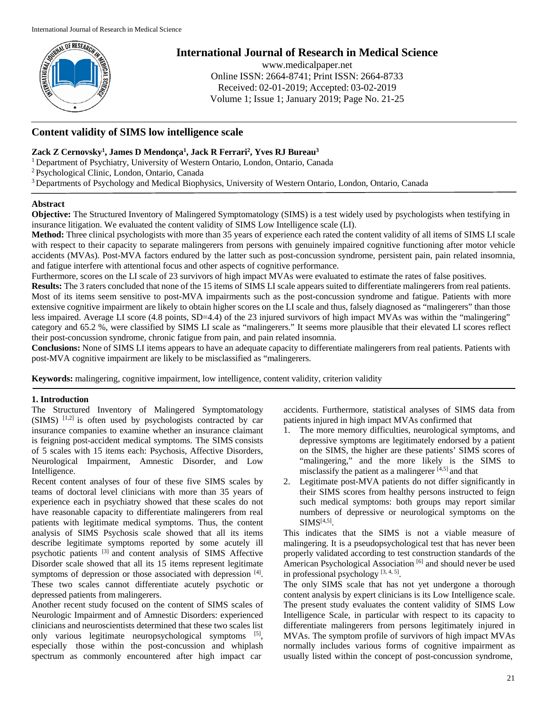

# **International Journal of Research in Medical Science**

www.medicalpaper.net Online ISSN: 2664-8741; Print ISSN: 2664-8733 Received: 02-01-2019; Accepted: 03-02-2019 Volume 1; Issue 1; January 2019; Page No. 21-25

## **Content validity of SIMS low intelligence scale**

## **Zack Z Cernovsky1 , James D Mendonça1 , Jack R Ferrari2 , Yves RJ Bureau3**

<sup>1</sup> Department of Psychiatry, University of Western Ontario, London, Ontario, Canada

2 Psychological Clinic, London, Ontario, Canada

3 Departments of Psychology and Medical Biophysics, University of Western Ontario, London, Ontario, Canada

## **Abstract**

**Objective:** The Structured Inventory of Malingered Symptomatology (SIMS) is a test widely used by psychologists when testifying in insurance litigation. We evaluated the content validity of SIMS Low Intelligence scale (LI).

**Method:** Three clinical psychologists with more than 35 years of experience each rated the content validity of all items of SIMS LI scale with respect to their capacity to separate malingerers from persons with genuinely impaired cognitive functioning after motor vehicle accidents (MVAs). Post-MVA factors endured by the latter such as post-concussion syndrome, persistent pain, pain related insomnia, and fatigue interfere with attentional focus and other aspects of cognitive performance.

Furthermore, scores on the LI scale of 23 survivors of high impact MVAs were evaluated to estimate the rates of false positives.

**Results:** The 3 raters concluded that none of the 15 items of SIMS LI scale appears suited to differentiate malingerers from real patients. Most of its items seem sensitive to post-MVA impairments such as the post-concussion syndrome and fatigue. Patients with more extensive cognitive impairment are likely to obtain higher scores on the LI scale and thus, falsely diagnosed as "malingerers" than those less impaired. Average LI score (4.8 points, SD=4.4) of the 23 injured survivors of high impact MVAs was within the "malingering" category and 65.2 %, were classified by SIMS LI scale as "malingerers." It seems more plausible that their elevated LI scores reflect their post-concussion syndrome, chronic fatigue from pain, and pain related insomnia.

**Conclusions:** None of SIMS LI items appears to have an adequate capacity to differentiate malingerers from real patients. Patients with post-MVA cognitive impairment are likely to be misclassified as "malingerers.

**Keywords:** malingering, cognitive impairment, low intelligence, content validity, criterion validity

## **1. Introduction**

The Structured Inventory of Malingered Symptomatology  $(SIMS)$  [1,2] is often used by psychologists contracted by car insurance companies to examine whether an insurance claimant is feigning post-accident medical symptoms. The SIMS consists of 5 scales with 15 items each: Psychosis, Affective Disorders, Neurological Impairment, Amnestic Disorder, and Low Intelligence.

Recent content analyses of four of these five SIMS scales by teams of doctoral level clinicians with more than 35 years of experience each in psychiatry showed that these scales do not have reasonable capacity to differentiate malingerers from real patients with legitimate medical symptoms. Thus, the content analysis of SIMS Psychosis scale showed that all its items describe legitimate symptoms reported by some acutely ill psychotic patients [3] and content analysis of SIMS Affective Disorder scale showed that all its 15 items represent legitimate symptoms of depression or those associated with depression [4]. These two scales cannot differentiate acutely psychotic or depressed patients from malingerers.

Another recent study focused on the content of SIMS scales of Neurologic Impairment and of Amnestic Disorders: experienced clinicians and neuroscientists determined that these two scales list only various legitimate neuropsychological symptoms [5], especially those within the post-concussion and whiplash spectrum as commonly encountered after high impact car

accidents. Furthermore, statistical analyses of SIMS data from patients injured in high impact MVAs confirmed that

- 1. The more memory difficulties, neurological symptoms, and depressive symptoms are legitimately endorsed by a patient on the SIMS, the higher are these patients' SIMS scores of "malingering," and the more likely is the SIMS to misclassify the patient as a malingerer  $[4,5]$  and that
- 2. Legitimate post-MVA patients do not differ significantly in their SIMS scores from healthy persons instructed to feign such medical symptoms: both groups may report similar numbers of depressive or neurological symptoms on the  $SIMS<sup>[4,5]</sup>$ .

This indicates that the SIMS is not a viable measure of malingering. It is a pseudopsychological test that has never been properly validated according to test construction standards of the American Psychological Association<sup>[6]</sup> and should never be used in professional psychology  $[3, 4, 5]$ .

The only SIMS scale that has not yet undergone a thorough content analysis by expert clinicians is its Low Intelligence scale. The present study evaluates the content validity of SIMS Low Intelligence Scale, in particular with respect to its capacity to differentiate malingerers from persons legitimately injured in MVAs. The symptom profile of survivors of high impact MVAs normally includes various forms of cognitive impairment as usually listed within the concept of post-concussion syndrome,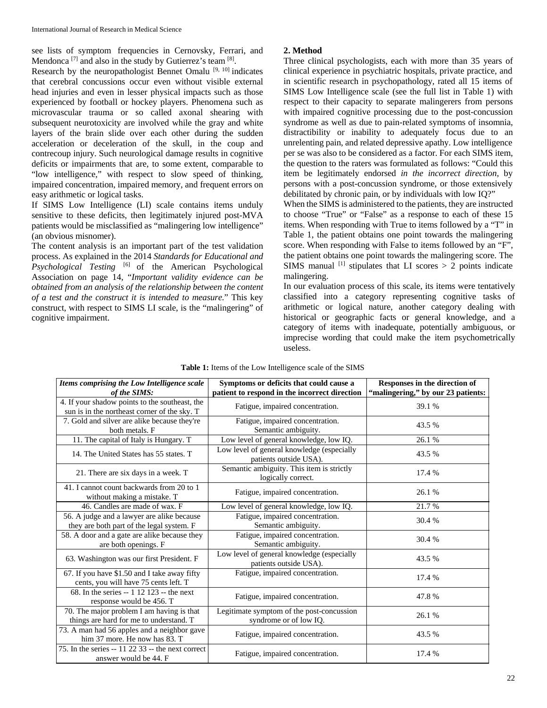see lists of symptom frequencies in Cernovsky, Ferrari, and Mendonca  $^{[7]}$  and also in the study by Gutierrez's team  $^{[8]}$ .

Research by the neuropathologist Bennet Omalu  $[9, 10]$  indicates that cerebral concussions occur even without visible external head injuries and even in lesser physical impacts such as those experienced by football or hockey players. Phenomena such as microvascular trauma or so called axonal shearing with subsequent neurotoxicity are involved while the gray and white layers of the brain slide over each other during the sudden acceleration or deceleration of the skull, in the coup and contrecoup injury. Such neurological damage results in cognitive deficits or impairments that are, to some extent, comparable to "low intelligence," with respect to slow speed of thinking, impaired concentration, impaired memory, and frequent errors on easy arithmetic or logical tasks.

If SIMS Low Intelligence (LI) scale contains items unduly sensitive to these deficits, then legitimately injured post-MVA patients would be misclassified as "malingering low intelligence" (an obvious misnomer).

The content analysis is an important part of the test validation process. As explained in the 2014 *Standards for Educational and Psychological Testing* [6] of the American Psychological Association on page 14, "*Important validity evidence can be obtained from an analysis of the relationship between the content of a test and the construct it is intended to measure.*" This key construct, with respect to SIMS LI scale, is the "malingering" of cognitive impairment.

## **2. Method**

Three clinical psychologists, each with more than 35 years of clinical experience in psychiatric hospitals, private practice, and in scientific research in psychopathology, rated all 15 items of SIMS Low Intelligence scale (see the full list in Table 1) with respect to their capacity to separate malingerers from persons with impaired cognitive processing due to the post-concussion syndrome as well as due to pain-related symptoms of insomnia, distractibility or inability to adequately focus due to an unrelenting pain, and related depressive apathy. Low intelligence per se was also to be considered as a factor. For each SIMS item, the question to the raters was formulated as follows: "Could this item be legitimately endorsed *in the incorrect direction,* by persons with a post-concussion syndrome, or those extensively debilitated by chronic pain, or by individuals with low IQ?"

When the SIMS is administered to the patients, they are instructed to choose "True" or "False" as a response to each of these 15 items. When responding with True to items followed by a "T" in Table 1, the patient obtains one point towards the malingering score. When responding with False to items followed by an "F", the patient obtains one point towards the malingering score. The SIMS manual <sup>[1]</sup> stipulates that LI scores  $> 2$  points indicate malingering.

In our evaluation process of this scale, its items were tentatively classified into a category representing cognitive tasks of arithmetic or logical nature, another category dealing with historical or geographic facts or general knowledge, and a category of items with inadequate, potentially ambiguous, or imprecise wording that could make the item psychometrically useless.

| Items comprising the Low Intelligence scale                                                    | Symptoms or deficits that could cause a                              | Responses in the direction of      |
|------------------------------------------------------------------------------------------------|----------------------------------------------------------------------|------------------------------------|
| of the SIMS:                                                                                   | patient to respond in the incorrect direction                        | "malingering," by our 23 patients: |
| 4. If your shadow points to the southeast, the<br>sun is in the northeast corner of the sky. T | Fatigue, impaired concentration.                                     | 39.1 %                             |
| 7. Gold and silver are alike because they're<br>both metals. F                                 | Fatigue, impaired concentration.<br>Semantic ambiguity.              | 43.5 %                             |
| 11. The capital of Italy is Hungary. T                                                         | Low level of general knowledge, low IQ.                              | 26.1 %                             |
| 14. The United States has 55 states. T                                                         | Low level of general knowledge (especially<br>patients outside USA). | 43.5 %                             |
| 21. There are six days in a week. T                                                            | Semantic ambiguity. This item is strictly<br>logically correct.      | 17.4 %                             |
| 41. I cannot count backwards from 20 to 1<br>without making a mistake. T                       | Fatigue, impaired concentration.                                     | 26.1%                              |
| 46. Candles are made of wax. F                                                                 | Low level of general knowledge, low IQ.                              | 21.7%                              |
| 56. A judge and a lawyer are alike because<br>they are both part of the legal system. F        | Fatigue, impaired concentration.<br>Semantic ambiguity.              | 30.4 %                             |
| 58. A door and a gate are alike because they<br>are both openings. F                           | Fatigue, impaired concentration.<br>Semantic ambiguity.              | 30.4 %                             |
| 63. Washington was our first President. F                                                      | Low level of general knowledge (especially<br>patients outside USA). | 43.5 %                             |
| 67. If you have \$1.50 and I take away fifty<br>cents, you will have 75 cents left. T          | Fatigue, impaired concentration.                                     | 17.4 %                             |
| 68. In the series $-1$ 12 123 $-$ the next<br>response would be 456. T                         | Fatigue, impaired concentration.                                     | 47.8%                              |
| 70. The major problem I am having is that<br>things are hard for me to understand. T           | Legitimate symptom of the post-concussion<br>syndrome or of low IQ.  | 26.1%                              |
| 73. A man had 56 apples and a neighbor gave<br>him 37 more. He now has 83. T                   | Fatigue, impaired concentration.                                     | 43.5 %                             |
| 75. In the series $-11$ 22 33 $-$ the next correct<br>answer would be 44. F                    | Fatigue, impaired concentration.                                     | 17.4 %                             |

|  | Table 1: Items of the Low Intelligence scale of the SIMS |
|--|----------------------------------------------------------|
|--|----------------------------------------------------------|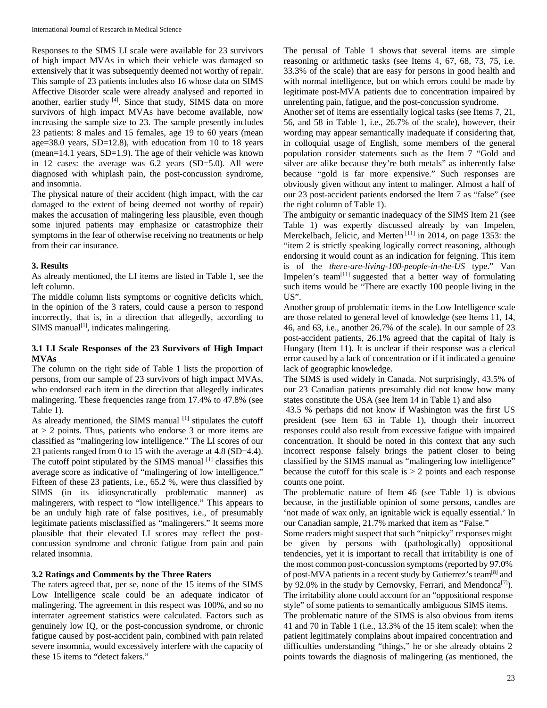Responses to the SIMS LI scale were available for 23 survivors of high impact MVAs in which their vehicle was damaged so extensively that it was subsequently deemed not worthy of repair. This sample of 23 patients includes also 16 whose data on SIMS Affective Disorder scale were already analysed and reported in another, earlier study [4]. Since that study, SIMS data on more survivors of high impact MVAs have become available, now increasing the sample size to 23. The sample presently includes 23 patients: 8 males and 15 females, age 19 to 60 years (mean age=38.0 years, SD=12.8), with education from 10 to 18 years  $(mean=14.1 \text{ years}, SD=1.9)$ . The age of their vehicle was known in 12 cases: the average was 6.2 years (SD=5.0). All were diagnosed with whiplash pain, the post-concussion syndrome, and insomnia.

The physical nature of their accident (high impact, with the car damaged to the extent of being deemed not worthy of repair) makes the accusation of malingering less plausible, even though some injured patients may emphasize or catastrophize their symptoms in the fear of otherwise receiving no treatments or help from their car insurance.

## **3. Results**

As already mentioned, the LI items are listed in Table 1, see the left column.

The middle column lists symptoms or cognitive deficits which, in the opinion of the 3 raters, could cause a person to respond incorrectly, that is, in a direction that allegedly, according to  $SIMS$  manual<sup>[1]</sup>, indicates malingering.

## **3.1 LI Scale Responses of the 23 Survivors of High Impact MVAs**

The column on the right side of Table 1 lists the proportion of persons, from our sample of 23 survivors of high impact MVAs, who endorsed each item in the direction that allegedly indicates malingering. These frequencies range from 17.4% to 47.8% (see Table 1).

As already mentioned, the SIMS manual [1] stipulates the cutoff at  $> 2$  points. Thus, patients who endorse 3 or more items are classified as "malingering low intelligence." The LI scores of our 23 patients ranged from 0 to 15 with the average at 4.8 (SD=4.4). The cutoff point stipulated by the SIMS manual [1] classifies this average score as indicative of "malingering of low intelligence." Fifteen of these 23 patients, i.e., 65.2 %, were thus classified by SIMS (in its idiosyncratically problematic manner) as malingerers, with respect to "low intelligence." This appears to be an unduly high rate of false positives, i.e., of presumably legitimate patients misclassified as "malingerers." It seems more plausible that their elevated LI scores may reflect the postconcussion syndrome and chronic fatigue from pain and pain related insomnia.

## **3.2 Ratings and Comments by the Three Raters**

The raters agreed that, per se, none of the 15 items of the SIMS Low Intelligence scale could be an adequate indicator of malingering. The agreement in this respect was 100%, and so no interrater agreement statistics were calculated. Factors such as genuinely low IQ, or the post-concussion syndrome, or chronic fatigue caused by post-accident pain, combined with pain related severe insomnia, would excessively interfere with the capacity of these 15 items to "detect fakers."

The perusal of Table 1 shows that several items are simple reasoning or arithmetic tasks (see Items 4, 67, 68, 73, 75, i.e. 33.3% of the scale) that are easy for persons in good health and with normal intelligence, but on which errors could be made by legitimate post-MVA patients due to concentration impaired by unrelenting pain, fatigue, and the post-concussion syndrome.

Another set of items are essentially logical tasks (see Items 7, 21, 56, and 58 in Table 1, i.e., 26.7% of the scale), however, their wording may appear semantically inadequate if considering that, in colloquial usage of English, some members of the general population consider statements such as the Item 7 "Gold and silver are alike because they're both metals" as inherently false because "gold is far more expensive." Such responses are obviously given without any intent to malinger. Almost a half of our 23 post-accident patients endorsed the Item 7 as "false" (see the right column of Table 1).

The ambiguity or semantic inadequacy of the SIMS Item 21 (see Table 1) was expertly discussed already by van Impelen, Merckelbach, Jelicic, and Merten [11] in 2014, on page 1353: the "item 2 is strictly speaking logically correct reasoning, although endorsing it would count as an indication for feigning. This item is of the *there-are-living-100-people-in-the-US* type." Van Impelen's team<sup>[11]</sup> suggested that a better way of formulating such items would be "There are exactly 100 people living in the US".

Another group of problematic items in the Low Intelligence scale are those related to general level of knowledge (see Items 11, 14, 46, and 63, i.e., another 26.7% of the scale). In our sample of 23 post-accident patients, 26.1% agreed that the capital of Italy is Hungary (Item 11). It is unclear if their response was a clerical error caused by a lack of concentration or if it indicated a genuine lack of geographic knowledge.

The SIMS is used widely in Canada. Not surprisingly, 43.5% of our 23 Canadian patients presumably did not know how many states constitute the USA (see Item 14 in Table 1) and also

43.5 % perhaps did not know if Washington was the first US president (see Item 63 in Table 1), though their incorrect responses could also result from excessive fatigue with impaired concentration. It should be noted in this context that any such incorrect response falsely brings the patient closer to being classified by the SIMS manual as "malingering low intelligence" because the cutoff for this scale is  $> 2$  points and each response counts one point.

The problematic nature of Item 46 (see Table 1) is obvious because, in the justifiable opinion of some persons, candles are 'not made of wax only, an ignitable wick is equally essential.' In our Canadian sample, 21.7% marked that item as "False."

Some readers might suspect that such "nitpicky" responses might be given by persons with (pathologically) oppositional tendencies, yet it is important to recall that irritability is one of the most common post-concussion symptoms (reported by 97.0% of post-MVA patients in a recent study by Gutierrez's team[8] and by 92.0% in the study by Cernovsky, Ferrari, and Mendonca<sup>[7]</sup>). The irritability alone could account for an "oppositional response style" of some patients to semantically ambiguous SIMS items.

The problematic nature of the SIMS is also obvious from items 41 and 70 in Table 1 (i.e., 13.3% of the 15 item scale): when the patient legitimately complains about impaired concentration and difficulties understanding "things," he or she already obtains 2 points towards the diagnosis of malingering (as mentioned, the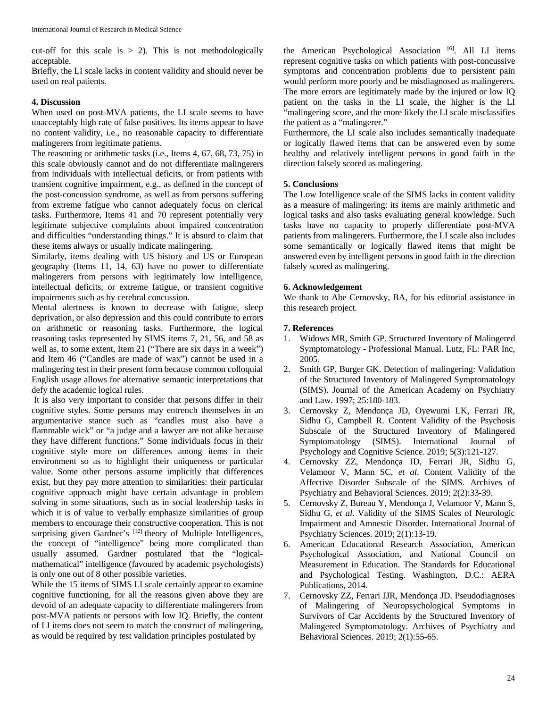cut-off for this scale is  $> 2$ ). This is not methodologically acceptable.

Briefly, the LI scale lacks in content validity and should never be used on real patients.

## **4. Discussion**

When used on post-MVA patients, the LI scale seems to have unacceptably high rate of false positives. Its items appear to have no content validity, i.e., no reasonable capacity to differentiate malingerers from legitimate patients.

The reasoning or arithmetic tasks (i.e., Items 4, 67, 68, 73, 75) in this scale obviously cannot and do not differentiate malingerers from individuals with intellectual deficits, or from patients with transient cognitive impairment, e.g., as defined in the concept of the post-concussion syndrome, as well as from persons suffering from extreme fatigue who cannot adequately focus on clerical tasks. Furthermore, Items 41 and 70 represent potentially very legitimate subjective complaints about impaired concentration and difficulties "understanding things." It is absurd to claim that these items always or usually indicate malingering.

Similarly, items dealing with US history and US or European geography (Items 11, 14, 63) have no power to differentiate malingerers from persons with legitimately low intelligence, intellectual deficits, or extreme fatigue, or transient cognitive impairments such as by cerebral concussion.

Mental alertness is known to decrease with fatigue, sleep deprivation, or also depression and this could contribute to errors on arithmetic or reasoning tasks. Furthermore, the logical reasoning tasks represented by SIMS items 7, 21, 56, and 58 as well as, to some extent, Item 21 ("There are six days in a week") and Item 46 ("Candles are made of wax") cannot be used in a malingering test in their present form because common colloquial English usage allows for alternative semantic interpretations that defy the academic logical rules.

It is also very important to consider that persons differ in their cognitive styles. Some persons may entrench themselves in an argumentative stance such as "candles must also have a flammable wick" or "a judge and a lawyer are not alike because they have different functions." Some individuals focus in their cognitive style more on differences among items in their environment so as to highlight their uniqueness or particular value. Some other persons assume implicitly that differences exist, but they pay more attention to similarities: their particular cognitive approach might have certain advantage in problem solving in some situations, such as in social leadership tasks in which it is of value to verbally emphasize similarities of group members to encourage their constructive cooperation. This is not surprising given Gardner's [12] theory of Multiple Intelligences, the concept of "intelligence" being more complicated than usually assumed. Gardner postulated that the "logicalmathematical" intelligence (favoured by academic psychologists) is only one out of 8 other possible varieties.

While the 15 items of SIMS LI scale certainly appear to examine cognitive functioning, for all the reasons given above they are devoid of an adequate capacity to differentiate malingerers from post-MVA patients or persons with low IQ. Briefly, the content of LI items does not seem to match the construct of malingering, as would be required by test validation principles postulated by

the American Psychological Association [6]. All LI items represent cognitive tasks on which patients with post-concussive symptoms and concentration problems due to persistent pain would perform more poorly and be misdiagnosed as malingerers. The more errors are legitimately made by the injured or low IQ patient on the tasks in the LI scale, the higher is the LI "malingering score, and the more likely the LI scale misclassifies the patient as a "malingerer."

Furthermore, the LI scale also includes semantically inadequate or logically flawed items that can be answered even by some healthy and relatively intelligent persons in good faith in the direction falsely scored as malingering.

## **5. Conclusions**

The Low Intelligence scale of the SIMS lacks in content validity as a measure of malingering: its items are mainly arithmetic and logical tasks and also tasks evaluating general knowledge. Such tasks have no capacity to properly differentiate post-MVA patients from malingerers. Furthermore, the LI scale also includes some semantically or logically flawed items that might be answered even by intelligent persons in good faith in the direction falsely scored as malingering.

## **6. Acknowledgement**

We thank to Abe Cernovsky, BA, for his editorial assistance in this research project.

## **7. References**

- 1. Widows MR, Smith GP. Structured Inventory of Malingered Symptomatology - Professional Manual. Lutz, FL: PAR Inc, 2005.
- 2. Smith GP, Burger GK. Detection of malingering: Validation of the Structured Inventory of Malingered Symptomatology (SIMS). Journal of the American Academy on Psychiatry and Law. 1997; 25:180-183.
- 3. Cernovsky Z, Mendonça JD, Oyewumi LK, Ferrari JR, Sidhu G, Campbell R. Content Validity of the Psychosis Subscale of the Structured Inventory of Malingered Symptomatology (SIMS). International Journal of Psychology and Cognitive Science. 2019; 5(3):121-127.
- 4. Cernovsky ZZ, Mendonça JD, Ferrari JR, Sidhu G, Velamoor V, Mann SC, *et al*. Content Validity of the Affective Disorder Subscale of the SIMS. Archives of Psychiatry and Behavioral Sciences. 2019; 2(2):33-39.
- 5. Cernovsky Z, Bureau Y, Mendonça J, Velamoor V, Mann S, Sidhu G, *et al*. Validity of the SIMS Scales of Neurologic Impairment and Amnestic Disorder. International Journal of Psychiatry Sciences. 2019; 2(1):13-19.
- 6. American Educational Research Association, American Psychological Association, and National Council on Measurement in Education. The Standards for Educational and Psychological Testing. Washington, D.C.: AERA Publications, 2014.
- 7. Cernovsky ZZ, Ferrari JJR, Mendonça JD. Pseudodiagnoses of Malingering of Neuropsychological Symptoms in Survivors of Car Accidents by the Structured Inventory of Malingered Symptomatology. Archives of Psychiatry and Behavioral Sciences. 2019; 2(1):55-65.